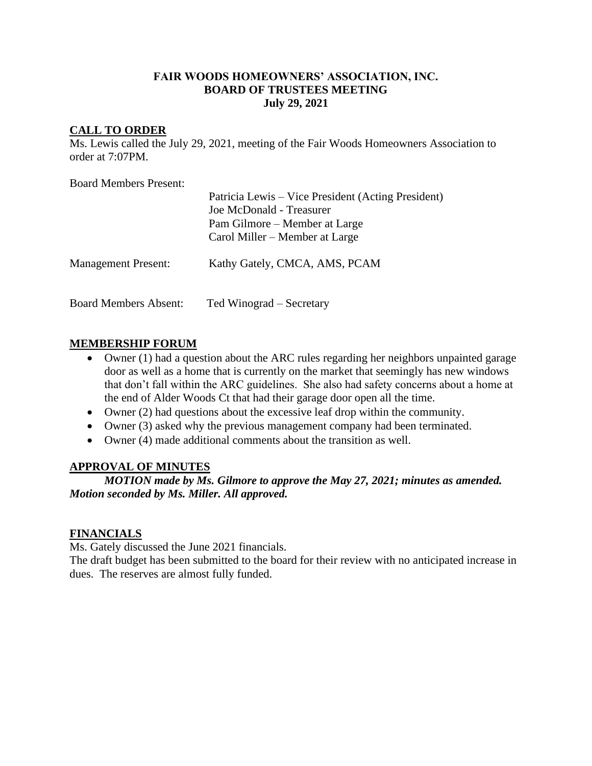## **FAIR WOODS HOMEOWNERS' ASSOCIATION, INC. BOARD OF TRUSTEES MEETING July 29, 2021**

## **CALL TO ORDER**

Ms. Lewis called the July 29, 2021, meeting of the Fair Woods Homeowners Association to order at 7:07PM.

Board Members Present:

|                              | Patricia Lewis – Vice President (Acting President)<br>Joe McDonald - Treasurer<br>Pam Gilmore – Member at Large<br>Carol Miller – Member at Large |
|------------------------------|---------------------------------------------------------------------------------------------------------------------------------------------------|
| <b>Management Present:</b>   | Kathy Gately, CMCA, AMS, PCAM                                                                                                                     |
| <b>Board Members Absent:</b> | Ted Winograd – Secretary                                                                                                                          |

# **MEMBERSHIP FORUM**

- Owner (1) had a question about the ARC rules regarding her neighbors unpainted garage door as well as a home that is currently on the market that seemingly has new windows that don't fall within the ARC guidelines. She also had safety concerns about a home at the end of Alder Woods Ct that had their garage door open all the time.
- Owner (2) had questions about the excessive leaf drop within the community.
- Owner (3) asked why the previous management company had been terminated.
- Owner (4) made additional comments about the transition as well.

### **APPROVAL OF MINUTES**

*MOTION made by Ms. Gilmore to approve the May 27, 2021; minutes as amended. Motion seconded by Ms. Miller. All approved.*

### **FINANCIALS**

Ms. Gately discussed the June 2021 financials.

The draft budget has been submitted to the board for their review with no anticipated increase in dues. The reserves are almost fully funded.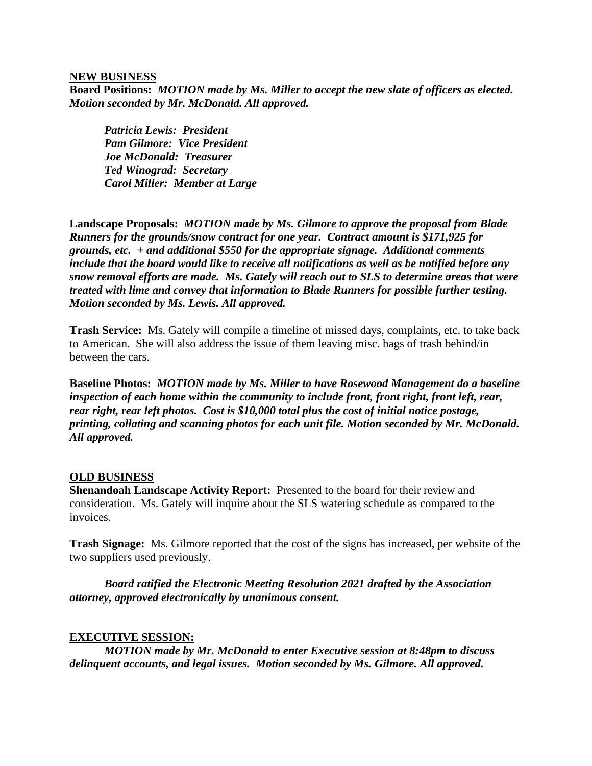#### **NEW BUSINESS**

**Board Positions:** *MOTION made by Ms. Miller to accept the new slate of officers as elected. Motion seconded by Mr. McDonald. All approved.*

*Patricia Lewis: President Pam Gilmore: Vice President Joe McDonald: Treasurer Ted Winograd: Secretary Carol Miller: Member at Large*

**Landscape Proposals:** *MOTION made by Ms. Gilmore to approve the proposal from Blade Runners for the grounds/snow contract for one year. Contract amount is \$171,925 for grounds, etc. + and additional \$550 for the appropriate signage. Additional comments include that the board would like to receive all notifications as well as be notified before any snow removal efforts are made. Ms. Gately will reach out to SLS to determine areas that were treated with lime and convey that information to Blade Runners for possible further testing. Motion seconded by Ms. Lewis. All approved.*

**Trash Service:** Ms. Gately will compile a timeline of missed days, complaints, etc. to take back to American. She will also address the issue of them leaving misc. bags of trash behind/in between the cars.

**Baseline Photos:** *MOTION made by Ms. Miller to have Rosewood Management do a baseline inspection of each home within the community to include front, front right, front left, rear, rear right, rear left photos. Cost is \$10,000 total plus the cost of initial notice postage, printing, collating and scanning photos for each unit file. Motion seconded by Mr. McDonald. All approved.*

#### **OLD BUSINESS**

**Shenandoah Landscape Activity Report:** Presented to the board for their review and consideration. Ms. Gately will inquire about the SLS watering schedule as compared to the invoices.

**Trash Signage:** Ms. Gilmore reported that the cost of the signs has increased, per website of the two suppliers used previously.

*Board ratified the Electronic Meeting Resolution 2021 drafted by the Association attorney, approved electronically by unanimous consent.*

#### **EXECUTIVE SESSION:**

*MOTION made by Mr. McDonald to enter Executive session at 8:48pm to discuss delinquent accounts, and legal issues. Motion seconded by Ms. Gilmore. All approved.*